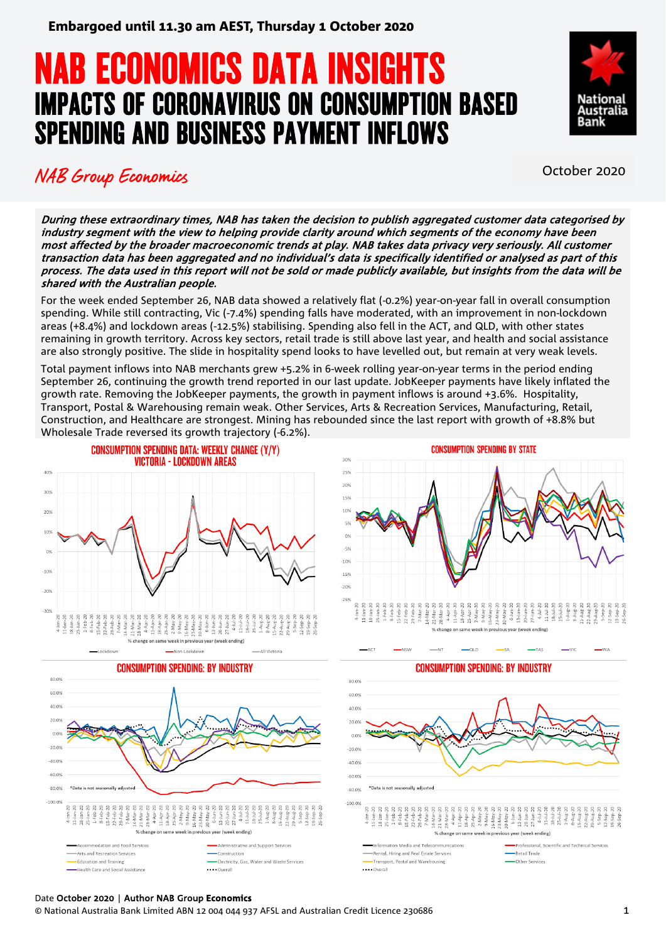# **NAB ECONOMICS DATA INSIGHTS<br>IMPACTS OF CORONAVIRUS ON CONSUMPTION BASED** SPENDING AND BUSINESS PAYMENT INFLOWS



## NAB Group Economics **NAB** Group Economics

During these extraordinary times, NAB has taken the decision to publish aggregated customer data categorised by industry segment with the view to helping provide clarity around which segments of the economy have been most affected by the broader macroeconomic trends at play. NAB takes data privacy very seriously. All customer transaction data has been aggregated and no individual's data is specifically identified or analysed as part of this process. The data used in this report will not be sold or made publicly available, but insights from the data will be shared with the Australian people.

For the week ended September 26, NAB data showed a relatively flat (-0.2%) year-on-year fall in overall consumption spending. While still contracting, Vic (-7.4%) spending falls have moderated, with an improvement in non-lockdown areas (+8.4%) and lockdown areas (-12.5%) stabilising. Spending also fell in the ACT, and QLD, with other states remaining in growth territory. Across key sectors, retail trade is still above last year, and health and social assistance are also strongly positive. The slide in hospitality spend looks to have levelled out, but remain at very weak levels.

Total payment inflows into NAB merchants grew +5.2% in 6-week rolling year-on-year terms in the period ending September 26, continuing the growth trend reported in our last update. JobKeeper payments have likely inflated the growth rate. Removing the JobKeeper payments, the growth in payment inflows is around +3.6%. Hospitality, Transport, Postal & Warehousing remain weak. Other Services, Arts & Recreation Services, Manufacturing, Retail, Construction, and Healthcare are strongest. Mining has rebounded since the last report with growth of +8.8% but Wholesale Trade reversed its growth trajectory (-6.2%).









#### Date October 2020 | Author NAB Group **Economics**

© National Australia Bank Limited ABN 12 004 044 937 AFSL and Australian Credit Licence 230686 1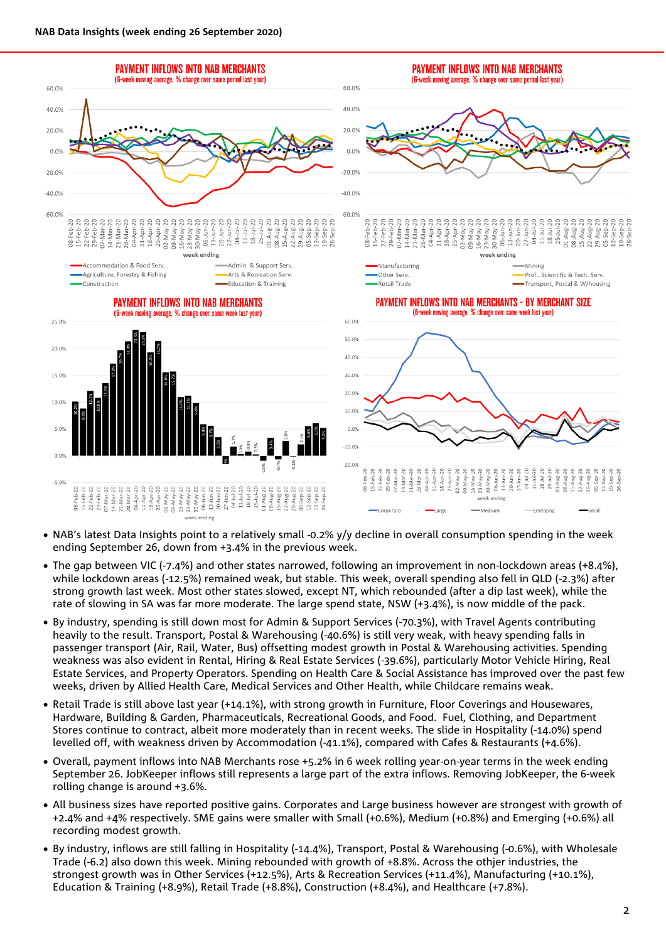.



- NAB's latest Data Insights point to a relatively small -0.2% y/y decline in overall consumption spending in the week ending September 26, down from +3.4% in the previous week.
- The gap between VIC (-7.4%) and other states narrowed, following an improvement in non-lockdown areas (+8.4%), while lockdown areas (-12.5%) remained weak, but stable. This week, overall spending also fell in QLD (-2.3%) after strong growth last week. Most other states slowed, except NT, which rebounded (after a dip last week), while the rate of slowing in SA was far more moderate. The large spend state, NSW (+3.4%), is now middle of the pack.
- By industry, spending is still down most for Admin & Support Services (-70.3%), with Travel Agents contributing heavily to the result. Transport, Postal & Warehousing (-40.6%) is still very weak, with heavy spending falls in passenger transport (Air, Rail, Water, Bus) offsetting modest growth in Postal & Warehousing activities. Spending weakness was also evident in Rental, Hiring & Real Estate Services (-39.6%), particularly Motor Vehicle Hiring, Real Estate Services, and Property Operators. Spending on Health Care & Social Assistance has improved over the past few weeks, driven by Allied Health Care, Medical Services and Other Health, while Childcare remains weak.
- Retail Trade is still above last year (+14.1%), with strong growth in Furniture, Floor Coverings and Housewares, Hardware, Building & Garden, Pharmaceuticals, Recreational Goods, and Food. Fuel, Clothing, and Department Stores continue to contract, albeit more moderately than in recent weeks. The slide in Hospitality (-14.0%) spend levelled off, with weakness driven by Accommodation (-41.1%), compared with Cafes & Restaurants (+4.6%).
- Overall, payment inflows into NAB Merchants rose +5.2% in 6 week rolling year-on-year terms in the week ending September 26. JobKeeper inflows still represents a large part of the extra inflows. Removing JobKeeper, the 6-week rolling change is around +3.6%.
- All business sizes have reported positive gains. Corporates and Large business however are strongest with growth of +2.4% and +4% respectively. SME gains were smaller with Small (+0.6%), Medium (+0.8%) and Emerging (+0.6%) all recording modest growth.
- By industry, inflows are still falling in Hospitality (-14.4%), Transport, Postal & Warehousing (-0.6%), with Wholesale Trade (-6.2) also down this week. Mining rebounded with growth of +8.8%. Across the othjer industries, the strongest growth was in Other Services (+12.5%), Arts & Recreation Services (+11.4%), Manufacturing (+10.1%), Education & Training (+8.9%), Retail Trade (+8.8%), Construction (+8.4%), and Healthcare (+7.8%).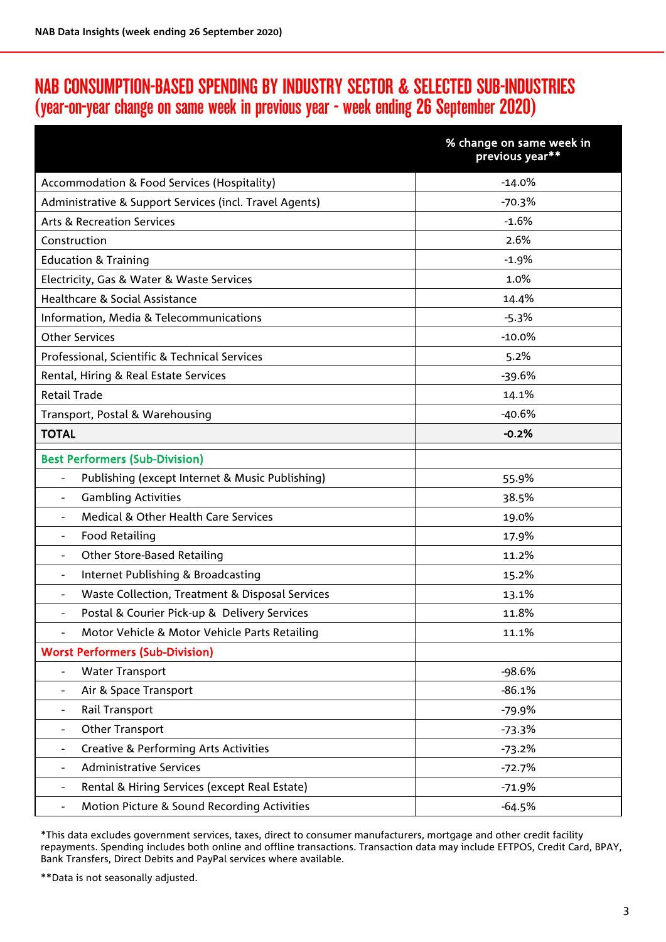### NAB CONSUMPTION-BASED SPENDING BY INDUSTRY SECTOR & SELECTED SUB-INDUSTRIES (year-on-year change on same week in previous year - week ending 26 September 2020)

|                                                                    | % change on same week in<br>previous year** |
|--------------------------------------------------------------------|---------------------------------------------|
| Accommodation & Food Services (Hospitality)                        | $-14.0%$                                    |
| Administrative & Support Services (incl. Travel Agents)            | $-70.3%$                                    |
| <b>Arts &amp; Recreation Services</b>                              | $-1.6%$                                     |
| Construction                                                       | 2.6%                                        |
| <b>Education &amp; Training</b>                                    | $-1.9%$                                     |
| Electricity, Gas & Water & Waste Services                          | 1.0%                                        |
| Healthcare & Social Assistance                                     | 14.4%                                       |
| Information, Media & Telecommunications                            | $-5.3%$                                     |
| <b>Other Services</b>                                              | $-10.0\%$                                   |
| Professional, Scientific & Technical Services                      | 5.2%                                        |
| Rental, Hiring & Real Estate Services                              | $-39.6%$                                    |
| <b>Retail Trade</b>                                                | 14.1%                                       |
| Transport, Postal & Warehousing                                    | $-40.6%$                                    |
| <b>TOTAL</b>                                                       | $-0.2%$                                     |
| <b>Best Performers (Sub-Division)</b>                              |                                             |
| Publishing (except Internet & Music Publishing)<br>$\overline{a}$  | 55.9%                                       |
| <b>Gambling Activities</b><br>$\blacksquare$                       | 38.5%                                       |
| Medical & Other Health Care Services<br>$\blacksquare$             | 19.0%                                       |
| <b>Food Retailing</b><br>$\blacksquare$                            | 17.9%                                       |
| <b>Other Store-Based Retailing</b><br>$\blacksquare$               | 11.2%                                       |
| Internet Publishing & Broadcasting                                 | 15.2%                                       |
| Waste Collection, Treatment & Disposal Services                    | 13.1%                                       |
| Postal & Courier Pick-up & Delivery Services                       | 11.8%                                       |
| Motor Vehicle & Motor Vehicle Parts Retailing                      | 11.1%                                       |
| <b>Worst Performers (Sub-Division)</b>                             |                                             |
| <b>Water Transport</b><br>$\overline{\phantom{a}}$                 | $-98.6%$                                    |
| Air & Space Transport                                              | $-86.1%$                                    |
| Rail Transport<br>$\overline{\phantom{a}}$                         | $-79.9%$                                    |
| Other Transport                                                    | $-73.3%$                                    |
| <b>Creative &amp; Performing Arts Activities</b>                   | $-73.2%$                                    |
| <b>Administrative Services</b>                                     | $-72.7%$                                    |
| Rental & Hiring Services (except Real Estate)<br>$\qquad \qquad -$ | $-71.9%$                                    |
| Motion Picture & Sound Recording Activities<br>$\qquad \qquad -$   | $-64.5%$                                    |

\*This data excludes government services, taxes, direct to consumer manufacturers, mortgage and other credit facility repayments. Spending includes both online and offline transactions. Transaction data may include EFTPOS, Credit Card, BPAY, Bank Transfers, Direct Debits and PayPal services where available.

\*\*Data is not seasonally adjusted.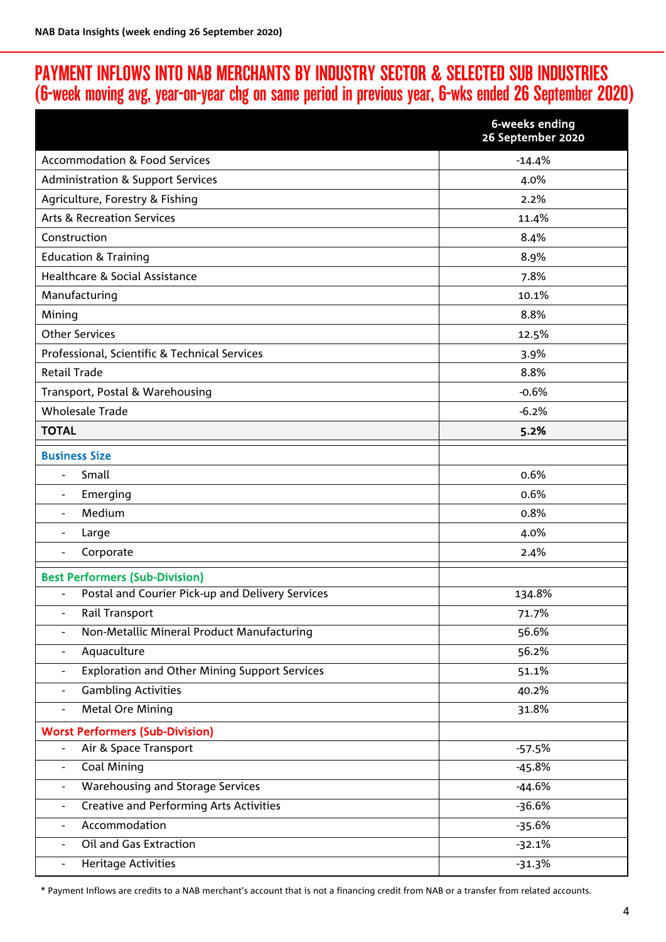## PAYMENT INFLOWS INTO NAB MERCHANTS BY INDUSTRY SECTOR & SELECTED SUB INDUSTRIES (6-week moving avg, year-on-year chg on same period in previous year, 6-wks ended 26 September 2020)

|                                                                                  | 6-weeks ending<br>26 September 2020 |
|----------------------------------------------------------------------------------|-------------------------------------|
| <b>Accommodation &amp; Food Services</b>                                         | $-14.4%$                            |
| <b>Administration &amp; Support Services</b>                                     | 4.0%                                |
| Agriculture, Forestry & Fishing                                                  | 2.2%                                |
| <b>Arts &amp; Recreation Services</b>                                            | 11.4%                               |
| Construction                                                                     | 8.4%                                |
| <b>Education &amp; Training</b>                                                  | 8.9%                                |
| Healthcare & Social Assistance                                                   | 7.8%                                |
| Manufacturing                                                                    | 10.1%                               |
| Mining                                                                           | 8.8%                                |
| <b>Other Services</b>                                                            | 12.5%                               |
| Professional, Scientific & Technical Services                                    | 3.9%                                |
| <b>Retail Trade</b>                                                              | 8.8%                                |
| Transport, Postal & Warehousing                                                  | $-0.6%$                             |
| <b>Wholesale Trade</b>                                                           | $-6.2%$                             |
| <b>TOTAL</b>                                                                     | 5.2%                                |
| <b>Business Size</b>                                                             |                                     |
| Small<br>$\blacksquare$                                                          | 0.6%                                |
| Emerging<br>$\overline{\phantom{a}}$                                             | 0.6%                                |
| Medium<br>$\blacksquare$                                                         | 0.8%                                |
| Large                                                                            | 4.0%                                |
| Corporate                                                                        | 2.4%                                |
| <b>Best Performers (Sub-Division)</b>                                            |                                     |
| Postal and Courier Pick-up and Delivery Services<br>$\overline{\phantom{a}}$     | 134.8%                              |
| Rail Transport                                                                   | 71.7%                               |
| Non-Metallic Mineral Product Manufacturing                                       | 56.6%                               |
| Aquaculture<br>$\qquad \qquad -$                                                 | 56.2%                               |
| <b>Exploration and Other Mining Support Services</b><br>$\overline{\phantom{a}}$ | 51.1%                               |
| <b>Gambling Activities</b><br>$\overline{\phantom{a}}$                           | 40.2%                               |
| <b>Metal Ore Mining</b><br>$\overline{\phantom{a}}$                              | 31.8%                               |
| <b>Worst Performers (Sub-Division)</b>                                           |                                     |
| Air & Space Transport<br>$\overline{\phantom{a}}$                                | $-57.5%$                            |
| <b>Coal Mining</b><br>$\overline{\phantom{a}}$                                   | $-45.8%$                            |
| Warehousing and Storage Services<br>$\overline{\phantom{a}}$                     | $-44.6%$                            |
| <b>Creative and Performing Arts Activities</b><br>$\overline{\phantom{a}}$       | $-36.6%$                            |
| Accommodation<br>$\overline{\phantom{a}}$                                        | $-35.6%$                            |
| Oil and Gas Extraction<br>$\overline{\phantom{a}}$                               | $-32.1%$                            |
| <b>Heritage Activities</b><br>$\qquad \qquad -$                                  | $-31.3%$                            |

\* Payment Inflows are credits to a NAB merchant's account that is not a financing credit from NAB or a transfer from related accounts.